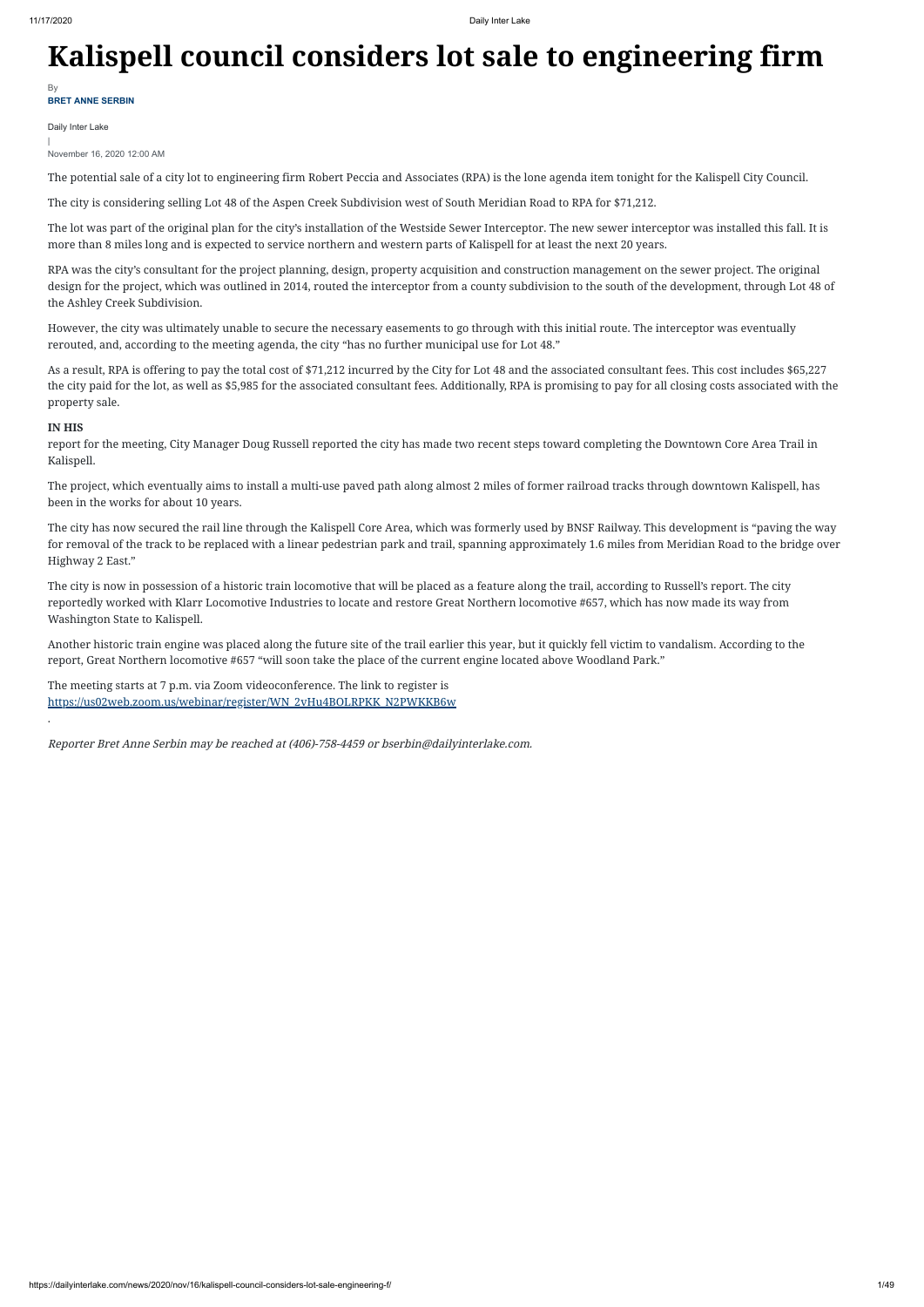# **Kalispell council considers lot sale to engineering firm**

Daily Inter Lake

| November 16, 2020 12:00 AM

The potential sale of a city lot to engineering firm Robert Peccia and Associates (RPA) is the lone agenda item tonight for the Kalispell City Council.

The city is considering selling Lot 48 of the Aspen Creek Subdivision west of South Meridian Road to RPA for \$71,212.

The lot was part of the original plan for the city's installation of the Westside Sewer Interceptor. The new sewer interceptor was installed this fall. It is more than 8 miles long and is expected to service northern and western parts of Kalispell for at least the next 20 years.

RPA was the city's consultant for the project planning, design, property acquisition and construction management on the sewer project. The original design for the project, which was outlined in 2014, routed the interceptor from a county subdivision to the south of the development, through Lot 48 of the Ashley Creek Subdivision.

However, the city was ultimately unable to secure the necessary easements to go through with this initial route. The interceptor was eventually rerouted, and, according to the meeting agenda, the city "has no further municipal use for Lot 48."

As a result, RPA is offering to pay the total cost of \$71,212 incurred by the City for Lot 48 and the associated consultant fees. This cost includes \$65,227 the city paid for the lot, as well as \$5,985 for the associated consultant fees. Additionally, RPA is promising to pay for all closing costs associated with the property sale.

**BRET ANNE SERBIN** By

## **IN HIS**

report for the meeting, City Manager Doug Russell reported the city has made two recent steps toward completing the Downtown Core Area Trail in Kalispell.

The project, which eventually aims to install a multi-use paved path along almost 2 miles of former railroad tracks through downtown Kalispell, has been in the works for about 10 years.

The city has now secured the rail line through the Kalispell Core Area, which was formerly used by BNSF Railway. This development is "paving the way for removal of the track to be replaced with a linear pedestrian park and trail, spanning approximately 1.6 miles from Meridian Road to the bridge over Highway 2 East."

The city is now in possession of a historic train locomotive that will be placed as a feature along the trail, according to Russell's report. The city reportedly worked with Klarr Locomotive Industries to locate and restore Great Northern locomotive #657, which has now made its way from Washington State to Kalispell.

Another historic train engine was placed along the future site of the trail earlier this year, but it quickly fell victim to vandalism. According to the report, Great Northern locomotive #657 "will soon take the place of the current engine located above Woodland Park."

The meeting starts at 7 p.m. via Zoom videoconference. The link to register is [https://us02web.zoom.us/webinar/register/WN\\_2vHu4BOLRPKK\\_N2PWKKB6w](https://us02web.zoom.us/webinar/register/WN_2vHu4BOLRPKK_N2PWKKB6w)

.

Reporter Bret Anne Serbin may be reached at (406)-758-4459 or bserbin@dailyinterlake.com.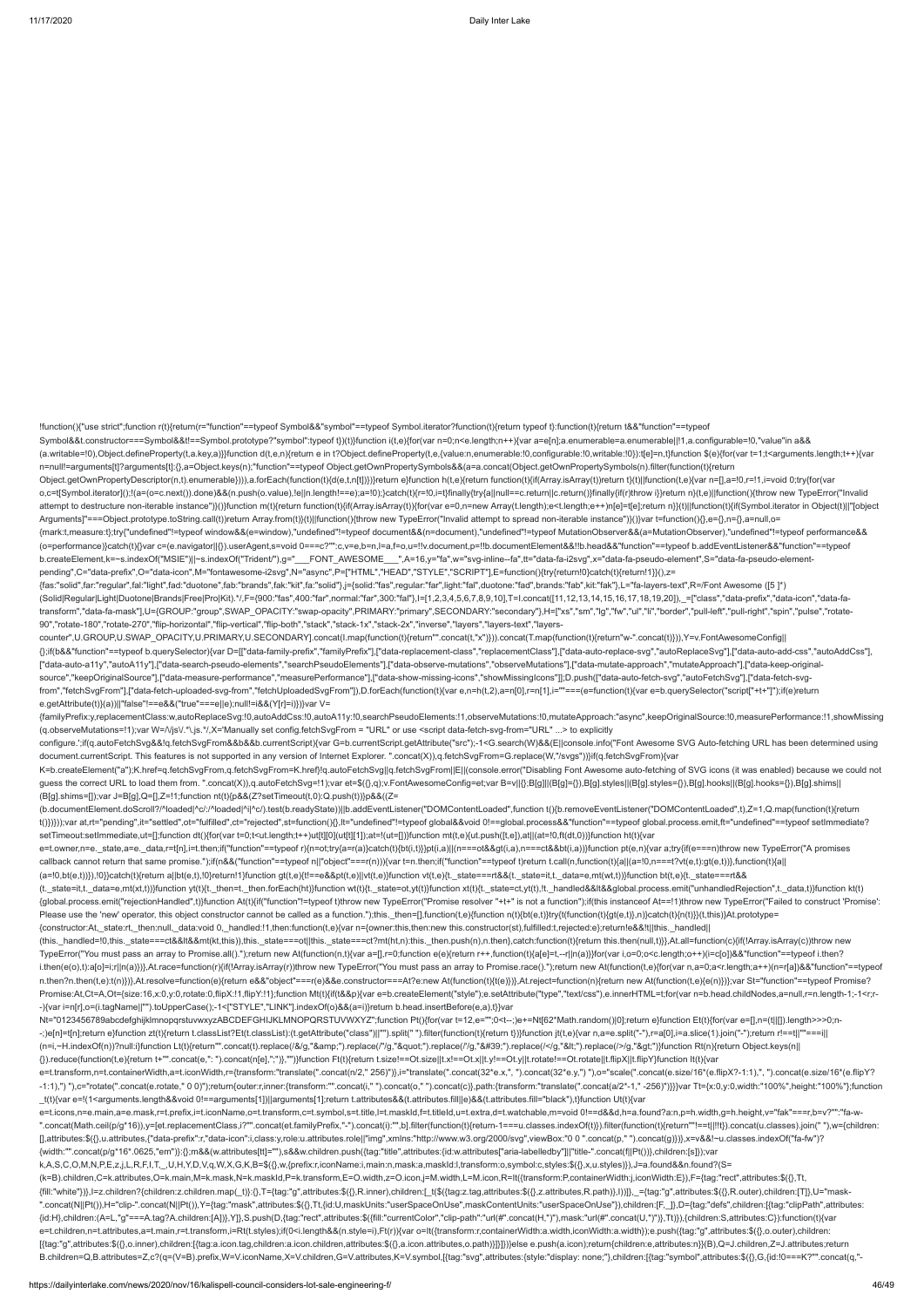Object.getOwnPropertyDescriptor(n,t).enumerable}))),a.forEach(function(t){d(e,t,n[t])})}return e}function h(t,e){return function(t){if(Array.isArray(t))return t}(t)||function(t,e){var n=[],a=!0,r=!1,i=void 0;try{for(var o,c=t[Symbol.iterator]();!(a=(o=c.next()).done)&&(n.push(o.value),!e||n.length!==e);a=!0);}catch(t){r=!0,i=t}finally{try{a||null==c.return||c.return()}finally{ff(r)throw i}}return n}(t,e)||function(){throw new TypeError("I attempt to destructure non-iterable instance")}()}function m(t){return function(t){if(Array.isArray(t)){for(var e=0,n=new Array(t.length);e<t.length;e++)n[e]=t[e];return n}}(t)||function(t){if(Symbol.iterator in Object(t)|

!function(){"use strict";function r(t){return(r="function"==typeof Symbol&&"symbol"==typeof Symbol.iterator?function(t){return typeof t}:function(t){return t&&"function"==typeof Symbol&&t.constructor===Symbol&&t!==Symbol.prototype?"symbol":typeof t})(t)}function i(t,e){for(var n=0;n<e.length;n++){var a=e[n];a.enumerable=a.enumerable|!1,a.configurable=!0,"value"in a&& (a.writable=!0),Object.defineProperty(t,a.key,a)}}function d(t,e,n){return e in t?Object.defineProperty(t,e,{value:n,enumerable:!0,configurable:!0,writable:!0}):t[e]=n,t}function \$(e){for(var t=1;t<arguments.length;t++){var n=null!=arguments[t]?arguments[t]:{},a=Object.keys(n);"function"==typeof Object.getOwnPropertySymbols&&(a=a.concat(Object.getOwnPropertySymbols(n).filter(function(t){return

Arguments]"===Object.prototype.toString.call(t))return Array.from(t)}(t)||function(){throw new TypeError("Invalid attempt to spread non-iterable instance")}()}var t=function(){},e={},n={},a=null,o= {mark:t,measure:t};try{"undefined"!=typeof window&&(e=window),"undefined"!=typeof document&&(n=document),"undefined"!=typeof MutationObserver&&(a=MutationObserver),"undefined"!=typeof performance&& (o=performance)}catch(t){}var c=(e.navigator||{}).userAgent,s=void 0===c?"":c,v=e,b=n,l=a,f=o,u=!!v.document,p=!!b.documentElement&&!!b.head&&"function"==typeof b.addEventListener&&"function"==typeof b.createElement,k=~s.indexOf("MSIE")||~s.indexOf("Trident/"),g="\_\_\_FONT\_AWESOME\_\_\_",A=16,y="fa",w="svg-inline--fa",tt="data-fa-i2svg",x="data-fa-pseudo-element",S="data-fa-pseudo-elementpending",C="data-prefix",O="data-icon",M="fontawesome-i2svg",N="async",P=["HTML","HEAD","STYLE","SCRIPT"],E=function(){try{return!0}catch(t){return!1}}(),z= {fas:"solid",far:"regular",fal:"light",fad:"duotone",fab:"brands",fak:"kit",fa:"solid"},j={solid:"fas",regular:"far",light:"fal",duotone:"fad",brands:"fab",kit:"fak"},L="fa-layers-text",R=/Font Awesome ([5 ]\*)

configure.';if(q.autoFetchSvg&&!q.fetchSvgFrom&&b&&b.currentScript){var G=b.currentScript.getAttribute("src");-1<G.search(W)&&(E||console.info("Font Awesome SVG Auto-fetching URL has been determined using document.currentScript. This features is not supported in any version of Internet Explorer. ".concat(X)),q.fetchSvgFrom=G.replace(W,"/svgs"))}if(q.fetchSvgFrom){var K=b.createElement("a");K.href=q.fetchSvgFrom,q.fetchSvgFrom=K.href}!q.autoFetchSvg||q.fetchSvgFrom||E||(console.error("Disabling Font Awesome auto-fetching of SVG icons (it was enabled) because we could not guess the correct URL to load them from. ".concat(X)),q.autoFetchSvg=!1);var et=\$({},q);v.FontAwesomeConfig=et;var B=v||{};B[g]||(B[g]={}),B[g].styles||(B[g].styles={}),B[g].hooks||(B[g].hooks={}),B[g].shims||

(Solid|Regular|Light|Duotone|Brands|Free|Pro|Kit).\*/,F={900:"fas",400:"far",normal:"far",300:"fal"},I=[1,2,3,4,5,6,7,8,9,10],T=I.concat([11,12,13,14,15,16,17,18,19,20]),\_=["class","data-prefix","data-icon","data-fatransform","data-fa-mask"],U={GROUP:"group",SWAP\_OPACITY:"swap-opacity",PRIMARY:"primary",SECONDARY:"secondary"},H=["xs","sm","lg","fw","ul","li","border","pull-left","pull-right","spin","pulse","rotate-90","rotate-180","rotate-270","flip-horizontal","flip-vertical","flip-both","stack","stack-1x","stack-2x","inverse","layers","layers-text","layers-{};if(b&&"function"==typeof b.querySelector){var D=[["data-family-prefix","familyPrefix"],["data-replacement-class","replacementClass"],["data-auto-replace-svg","autoReplaceSvg"],["data-auto-add-css","autoAddCss"],

(t.\_state=it,t.\_data=e,mt(xt,t))}function yt(t){t.\_then=t.\_then.forEach(ht)}function wt(t){t.\_state=ot,yt(t)}function xt(t){t.\_state=ct,yt(t)}.function xt(t){t.\_state=ct,yt(t)}. thendled Rejection",t.\_data,t)}function kt(t {global.process.emit("rejectionHandled",t)}function At(t){if("function"!=typeof t)throw new TypeError("Promise resolver "+t+" is not a function");if(this instanceof At==!1)throw new TypeError("Failed to construct 'Promise':

counter",U.GROUP,U.SWAP\_OPACITY,U.PRIMARY,U.SECONDARY].concat(I.map(function(t){return"".concat(t,"x")})).concat(T.map(function(t){return"w-".concat(t)})),Y=v.FontAwesomeConfig|| ["data-auto-a11y","autoA11y"],["data-search-pseudo-elements","searchPseudoElements"],["data-observe-mutations","observeMutations"],["data-mutate-approach","mutateApproach"],["data-keep-originalsource","keepOriginalSource"],["data-measure-performance","measurePerformance"],["data-show-missing-icons","showMissingIcons"]];D.push(["data-auto-fetch-svg","autoFetchSvg"],["data-fetch-svgfrom","fetchSvgFrom"],["data-fetch-uploaded-svg-from","fetchUploadedSvgFrom"]),D.forEach(function(t){var e,n=h(t,2),a=n[0],r=n[1],i=""===(e=function(t){var e=b.querySelector("script["+t+"]");if(e)return

e.getAttribute(t)}(a))||"false"!==e&&("true"===e||e);null!=i&&(Y[r]=i)})}var V= {familyPrefix:y,replacementClass:w,autoReplaceSvg:!0,autoAddCss:!0,autoA11y:!0,searchPseudoElements:!1,observeMutations:!0,mutateApproach:"async",keepOriginalSource:!0,measurePerformance:!1,showMissing (q.observeMutations=!1);var W=/\/js\/.\*\.js.\*/,X='Manually set config.fetchSvgFrom = "URL" or use <script data-fetch-svg-from="URL" ...> to explicitly

Nt="0123456789abcdefghijklmnopqrstuvwxyzABCDEFGHIJKLMNOPQRSTUVWXYZ";function Pt(){for(var t=12,e="";0<t--;)e+=Nt[62\*Math.random()|0];return e}function Et(t){for(var e=[],n=(t||[]).length>>>0;n--;)e[n]=t[n];return e}function zt(t){return t.classList?Et(t.classList):(t.getAttribute("class")||"").split(" ").filter(function(t){return t})}function jt(t,e){var n,a=e.split("-"),r=a[0],i=a.slice(1).join("-");return r!== (n=i,~H.indexOf(n))?null:i}function Lt(t){return"".concat(t).replace(/&/g,"&").replace(/"/g,""").replace(//g,"'").replace(/</g,"&lt;").replace(/>/g,"&gt;")}function Rt(n){return Object.keys(n|| {}).reduce(function(t,e){return t+"".concat(e,": ").concat(n[e],";")},"")}function Ft(t){return t.size!==Ot.size||t.x!==Ot.x||t.y!==Ot.y||t.rotate!==Ot.rotate||t.flipX||t.flipY}function It(t){var e=t.transform,n=t.containerWidth,a=t.iconWidth,r={transform:"translate(".concat(n/2," 256)")},i="translate(".concat(32\*e.x,", ").concat(32\*e.y,") "),o="scale(".concat(e.size/16\*(e.flipX?-1:1),", ").concat(e.size/16\*(e.flip -1:1),") ").c="rotate(".concat(e.rotate," 0 0)"):return{outer:r.inner:{transform:"".concat(i," ").concat(o," ").concat(c)}.path:{transform:"translate(".concat(a/2\*-1,"-256)"}}}}var Tt={x:0,y:0,width:"100%",height:"100%"};f \_t(t){var e=!(1<arguments.length&&void 0!==arguments[1])||arguments[1];return t.attributes&&(t.attributes.fill||e)&&(t.attributes.fill="black"),t}function Ut(t){var e=t.icons,n=e.main,a=e.mask,r=t.prefix,i=t.iconName,o=t.transform,c=t.symbol,s=t.title,l=t.maskId,f=t.titleId,u=t.extra,d=t.watchable,m=void 0!==d&&d,h=a.found?a:n,p=h.width,g=h.height,v="fak"===r,b=v?"":"fa-w-

(B[g].shims=[]);var J=B[g],Q=[],Z=!1;function nt(t){p&&(Z?setTimeout(t,0):Q.push(t))}p&&((Z= (b.documentElement.doScroll?/^loaded|^c/:/^loaded|^i|^c/).test(b.readyState))||b.addEventListener("DOMContentLoaded",function t(){b.removeEventListener("DOMContentLoaded",t),Z=1,Q.map(function(t){return t()})}));var at,rt="pending",it="settled",ot="fulfilled",ct="rejected",st=function(){},lt="undefined"!=typeof global&&void 0!==global.process&&"function"==typeof global.process.emit,ft="undefined"==typeof setImmediate? setTimeout:setImmediate,ut=[];function dt(){for(var t=0;t<ut.length;t++)ut[t][0](ut[t][1]);at=!(ut=[])}function mt(t,e){ut.push([t,e]),at||(at=!0,ft(dt,0))}function ht(t){var

e=t.owner,n=e.\_state,a=e.\_data,r=t[n],i=t.then;if("function"==typeof r){n=ot;try{a=r(a)}catch(t){bt(i,t)}}pt(i,a)||(n===ot&&gt(i,a),n===ct&&bt(i,a))}function pt(e,n){var a;try{if(e===n)throw new TypeError("A promises

".concat(Math.ceil(p/g\*16)),y=[et.replacementClass,i?"".concat(et.familyPrefix,"-").concat(i):"",b].filter(function(t){return-1===u.classes.indexOf(t)}).filter(function(t){return"!==t|!!!t}).concat(u.classes).join(""),w={c [],attributes:\$({},u.attributes,{"data-prefix":r,"data-icon":i,class:y,role:u.attributes.role||"img",xmlns:"http://www.w3.org/2000/svg",viewBox:"0 0 ".concat(p," ").concat(g)})},x=v&&!~u.classes.indexOf("fa-fw")? {width:"".concat(p/g\*16\*.0625,"em")}:{};m&&(w.attributes[tt]=""),s&&w.children.push({tag:"title",attributes:{id:w.attributes["aria-labelledby"]||"title-".concat(f||Pt())},children:[s]});var k,A,S,C,O,M,N,P,E,z,j,L,R,F,I,T,\_,U,H,Y,D,V,q,W,X,G,K,B=\$({},w,{prefix:r,iconName:i,main:n,mask:a,maskId:l,transform:o,symbol:c,styles:\$({},x,u.styles)}),J=a.found&&n.found?(S= (k=B).children,C=k.attributes,O=k.main,M=k.mask,N=k.maskId,P=k.transform,E=O.width,z=O.icon,j=M.width,L=M.icon,R=It({transform:P,containerWidth:j,iconWidth:E}),F={tag:"rect",attributes:\$({},Tt, {fill:"white"})}.l=z.children?{children.z.children.map( t)}:{}.T={taq:"q".attributes:\${{}.R.inner).children:[ t(\${{taq:z.taq.attributes:\${{}.R.attributes:\${}}.z.attributes.\${}}.z.attributes:\${}.R.puter}}})}. ={taq:"q".attr ".concat(N||Pt()),H="clip-".concat(N||Pt()),Y={tag:"mask",attributes:\$({},Tt,{id:U,maskUnits:"userSpaceOnUse",maskContentUnits:"userSpaceOnUse"}),children:[F,\_]},D={tag:"defs",children:[{tag:"clipPath",attributes: {id:H},children:(A=L,"g"===A.tag?A.children:[A])},Y]},S.push(D,{tag:"rect",attributes:\$({fill:"currentColor","clip-path":"url(#".concat(H,")"),mask:"url(#".concat(U,")")},Tt)}),{children:S,attributes:C}):function(t){var e=t.children,n=t.attributes,a=t.main,r=t.transform,i=Rt(t.styles);if(0<i.length&&(n.style=i),Ft(r)){var o=It({transform:r,containerWidth:a.width,iconWidth:a.width});e.push({tag:"g",attributes:\$({},o.outer),children: [{tag:"g",attributes:\$({},o.inner),children:[{tag:a.icon.tag,children:a.icon.children,attributes:\$({},a.icon.attributes,o.path)}]}]})}else e.push(a.icon);return{children:e,attributes:n}}(B),Q=J.children,Z=J.attributes;return B.children=Q,B.attributes=Z,c?(q=(V=B).prefix,W=V.iconName,X=V.children,G=V.attributes,K=V.symbol,[{tag:"svg",attributes:{style:"display: none;"},children:[{tag:"symbol",attributes:\$({},G,{id:!0===K?"".concat(q,"-

callback cannot return that same promise.");if(n&&("function"==typeof n||"object"===r(n))){var t=n.then;if("function"==typeof t)return t.call(n,function(t){a||(a=!0,n===t?vt(e,t):gt(e,t))},function(t){a||

Please use the 'new' operator, this object constructor cannot be called as a function.");this.\_then=[],function(t,e){function n(t){bt(e,t)}try{t(function(t){gt(e,t)},n)}catch(t){n(t)}}(t,this)}At.prototype=

 $(a=!0, b t(e,t))\}$ ,!0}}catch(t){return a||bt(e,t),!0}return!1}function gt(t,e){t!==e&&pt(t,e)||vt(t,e)}function vt(t,e){t.\_state===rt&&(t.\_state=it,t.\_data=e,mt(wt,t))}function bt(t,e){t.\_state===rt&&

{constructor:At,\_state:rt,\_then:null,\_data:void 0,\_handled:!1,then:function(t,e){var n={owner:this,then:new this.constructor(st),fulfilled:t,rejected:e};return!e&&!t||this.\_handled|| (this.\_handled=!0,this.\_state===ct&&lt&&mt(kt,this)),this.\_state===ot||this.\_state===ct?mt(ht,n):this.\_then.push(n),n.then},catch:function(t){return this.then(null,t)}},At.all=function(c){if(!Array.isArray(c))throw new TypeError("You must pass an array to Promise.all().");return new At(function(n,t){var a=[],r=0;function e(e){return r++,function(t){a[e]=t,--r||n(a)}}for(var i,o=0;o<c.length;o++)(i=c[o])&&"function"==typeof i.then? i.then(e(o),t):a[o]=i;r||n(a)})},At.race=function(r){if(!Array.isArray(r))throw new TypeError("You must pass an array to Promise.race().");return new At(function(t,e){for(var n,a=0;a<r.length;a++)(n=r[a])&&"function"==typeof n.then?n.then(t,e):t(n)})},At.resolve=function(e){return e&&"object"===r(e)&&e.constructor===At?e:new At(function(t){t(e)})},At.reject=function(n){return new At(function(t,e){e(n)})};var St="function"==typeof Promise? Promise:At,Ct=A,Ot={size:16,x:0,y:0,rotate:0,flipX:!1,flipY:!1};function Mt(t){if(t&&p){var e=b.createElement("style");e.setAttribute("type","text/css"),e.innerHTML=t;for(var n=b.head.childNodes,a=null,r=n.length-1;-1<r;r- -){var i=n[r],o=(i.tagName||"").toUpperCase();-1<["STYLE","LINK"].indexOf(o)&&(a=i)}return b.head.insertBefore(e,a),t}}var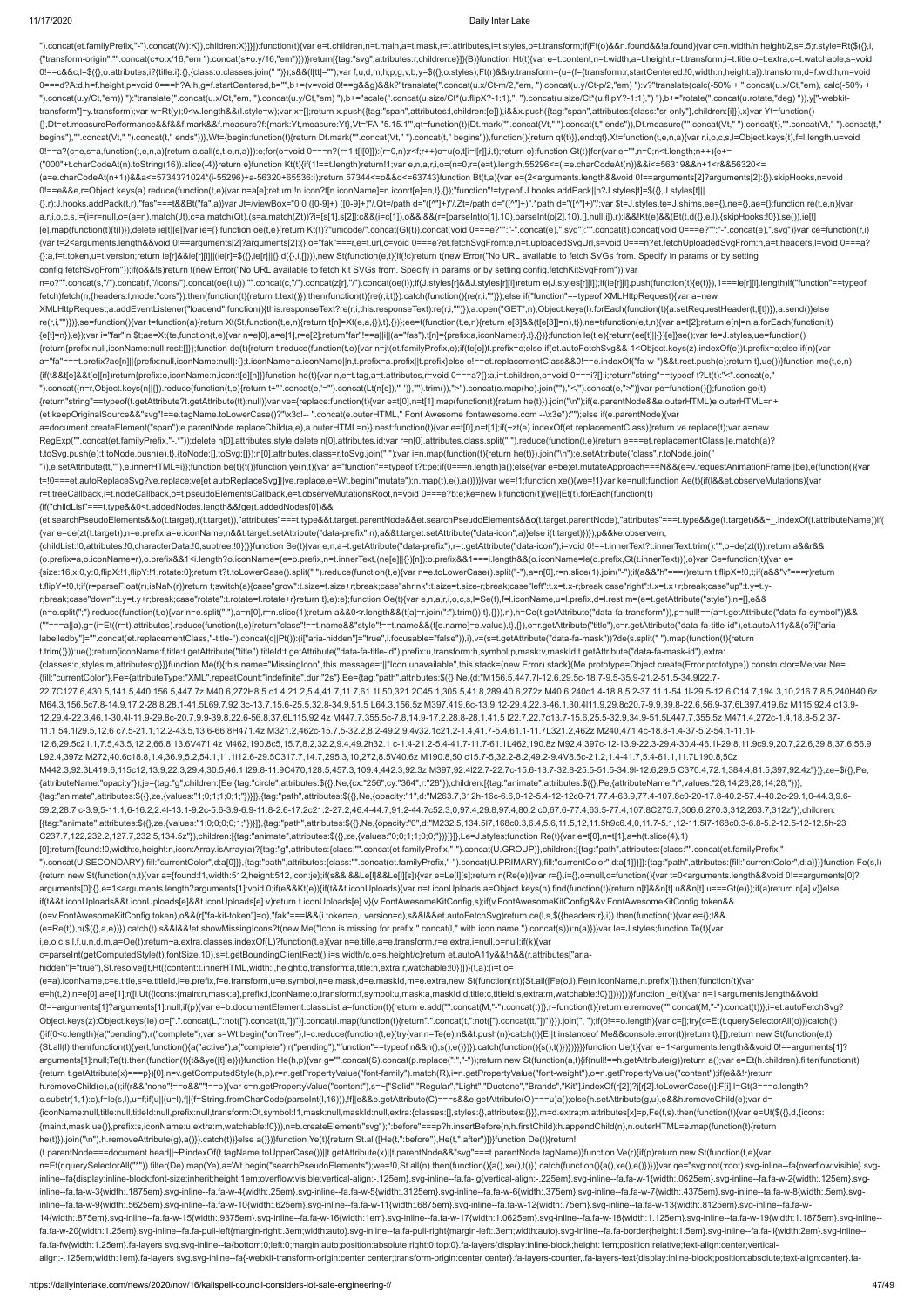").concat(et.familyPrefix,"-").concat(W):K}),children:X}]}]):function(t){var e=t.children,n=t.main,a=t.mask,r=t.attributes,i=t.styles,o=t.transform;if(Ft(o)&&n.found&&!a.found){var c=n.width/n.height/2,s=.5;r.style=Rt(\${{} {"transform-origin":"".concat(c+o.x/16,"em ").concat(s+o.y/16,"em")}))}return[{tag:"svg",attributes:r,children:e}]}(B)}function Ht(t){var e=t.content,n=t.width,a=t.height,r=t.transform,i=t.title,o=t.extra,c=t.watchable,s=v 0!==c&&c,l=\$({},o.attributes,i?{title:i}:{},{class:o.classes.join(" ")});s&&(l[tt]="");var f,u,d,m,h,p,g,v,b,y=\$({},o.styles);Ft(r)&&(y.transform=(u=(f={transform:r,startCentered:!0,width:n,height:a}).transform,d=f.width,m 0===d?A:d,h=f.height,p=void 0===h?A:h,g=f.startCentered,b="",b+=(v=void 0!==g&&g)&&k?"translate(".concat(u.x/Ct-m/2,"em, ").concat(u.y/Ct-p/2,"em) "):v?"translate(calc(-50% + ".concat(u.x/Ct,"em), calc(-50% + ").concat(u.y/Ct,"em)) "):"translate(".concat(u.x/Ct,"em, ").concat(u.y/Ct,"em) "),b+="scale(".concat(u.size/Ct\*(u.flipX?-1:1),", ").concat(u.size/Ct\*(u.flipY?-1:1),") "),b+="rotate(".concat(u.rotate,"deg) ")),y["-webkittransform"]=y.transform);var w=Rt(y);0<w.length&&(l.style=w);var x=[];return x.push({tag:"span",attributes:l,children:[e]}),i&&x.push({tag:"span",attributes:{class:"sr-only"},children:[i]}),x}var Yt=function() {},Dt=et.measurePerformance&&f&&f.mark&&f.measure?f:{mark:Yt,measure:Yt},Vt='FA "5.15.1"',qt=function(t){Dt.mark("".concat(Vt," ").concat(t," ends")),Dt.measure("".concat(Vt," ").concat(t),"".concat(Vt," ").concat(t," begins"),"".concat(Vt," ").concat(t," ends"))},Wt={begin:function(t){return Dt.mark("".concat(Vt," ").concat(t," begins")),function({feturn qt(t)}},end:qt},Xt=function(t,e,n,a){var r,i,o,c,s,l=Object.keys(t),f=l.length,u=v 0!==a?(c=e,s=a,function(t,e,n,a){return c.call(s,t,e,n,a)}):e;for(o=void 0===n?(r=1,t[l[0]]):(r=0,n);r<f;r++)o=u(o,t[i=l[r]],i,t);return o};function Gt(t){for(var e="",n=0;n<t.length;n++){e+= ("000"+t.charCodeAt(n).toString(16)).slice(-4)}return e}function Kt(t){if(1!==t.length)return!1;var e,n,a,r,i,o=(n=0,r=(e=t).length,55296<=(i=e.charCodeAt(n))&&i<=56319&&n+1<r&&56320<= (a=e.charCodeAt(n+1))&&a<=57343?1024\*(i-55296)+a-56320+65536:i);return 57344<=o&&o<=63743}function Bt(t,a){var e=(2<arguments.length&&void 0!==arguments[2]?arguments[2]:{}).skipHooks,n=void 0!==e&&e,r=Object.keys(a).reduce(function(t,e){var n=a[e];return!!n.icon?t[n.iconName]=n.icon:t[e]=n,t},{});"function"!=typeof J.hooks.addPack||n?J.styles[t]=\$({},J.styles[t]|| {},r):J.hooks.addPack(t,r),"fas"===t&&Bt("fa",a)}var Jt=/viewBox="0 0 ([0-9]+) ([0-9]+)"/,Qt=/path d="([^"]+)"/,Zt=/path d="([^"]+)".\*path d="([^"]+)"/;var \$t=J.styles,te=J.shims,ee={},ne={},ae={};function re(t,e,n){var a,r,i,o,c,s,l=(i=r=null,o=(a=n).match(Jt),c=a.match(Qt),(s=a.match(Zt))?i=[s[1],s[2]]:c&&(i=c[1]),o&&i&&(r=[parseInt(o[1],10),parseInt(o[2],10),[],null,i]),r);l&&!Kt(e)&&(Bt(t,d({},e,l),{skipHooks:!0}),se()),ie[t] [e].map(function(t){t(l)}),delete ie[t][e]}var ie={};function oe(t,e){return Kt(t)?"unicode/".concat(Gt(t)).concat(void 0===e?"":"-".concat(e),".svg"):"".concat(t).concat(toid 0===e?"":"-".concat(oid 0===e?"":"-".concat(e) {var t=2<arguments.length&&void 0!==arguments[2]?arguments[2]:{},o="fak"===r,e=t.url,c=void 0===e?et.fetchSvgFrom:e,n=t.uploadedSvgUrl,s=void 0===n?et.fetchUploadedSvgFrom:n,a=t.headers,l=void 0===a? {}:a,f=t.token,u=t.version;return ie[r]&&ie[r][i]||(ie[r]=\$({},ie[r]||{},d({},i,[]))),new St(function(e,t){if(!c)return t(new Error("No URL available to fetch SVGs from. Specify in params or by setting config.fetchSvgFrom"));if(o&&!s)return t(new Error("No URL available to fetch kit SVGs from. Specify in params or by setting config.fetchKitSvgFrom"));var n=o?"".concat(s,"/").concat(f,"/icons/").concat(6(i,iu)):"".concat(oe(i,u)):"".concat(c,"/").concat(z[r],"/").concat(oe(i));if(J.styles[r]&&J.styles[r][i])return e(J.styles[r][i]);if(ie[r][i].push(function({{(t)})},1===ie[ fetch)fetch(n,{headers:l,mode:"cors"}).then(function(t){return t.text()}).then(function(t){re(r,i,t)}).catch(function(){re(r,i,"")});else if("function"==typeof XMLHttpRequest){var a=new XMLHttpRequest;a.addEventListener("loadend",function(){this.responseText?re(r,i,this.responseText):re(r,i,"")}),a.open("GET",n),Object.keys(l).forEach(function(t){a.setRequestHeader(t,l[t])}),a.send()}else re(r,i,"")})},se=function(){var t=function(a){return Xt(\$t,function(t,e,n){return t[n]=Xt(e,a,{}),t},{})};ee=t(function(t,e,n){return e[3]&&(t[e[3]]=n),t}),ne=t(function(e,t,n){var a=t[2];return e[n]=n,a.forEach(function(t) {e[t]=n}),e});var i="far"in \$t;ae=Xt(te,function(t,e){var n=e[0],a=e[1],r=e[2];return"far"!==a||i||(a="fas"),t[n]={prefix:a,iconName:r},t},{})};function le(t,e){return(ee[t]||{})[e]}se();var fe=J.styles,ue=function() {return{prefix:null,iconName:null,rest:[]}};function de(t){return t.reduce(function(t,e){var n=jt(et.familyPrefix,e);if(fe[e])t.prefix=e;else if(et.autoFetchSvg&&-1<Object.keys(z).indexOf(e))t.prefix=e;else if(n){var a="fa"===t.prefix?ae[n]||{prefix:null,iconName:null}:{};t.iconName=a.iconName||n,t.prefix=a.prefix||t.prefix}else e!==et.replacementClass&&0!==e.indexOf("fa-w-")&&t.rest.push(e);return t},ue())}function me(t,e,n) {if(t&&t[e]&&t[e][n])return{prefix:e,iconName:n,icon:t[e][n]}}function he(t){var n,e=t.tag,a=t.attributes,r=void 0===a?{}:a,i=t.children,o=void 0===i?[]:i;return"string"==typeof t?Lt(t):"<".concat(e," ").concat((n=r,Object.keys(n||{}).reduce(function(t,e){return t+"".concat(e,'="').concat(Lt(n[e]),'" ')},"").trim()),">").concat(o.map(he).join(""),"</").concat(e,">")}var pe=function(){};function ge(t) {return"string"==typeof(t.getAttribute?t.getAttribute(tt):null)}var ve={replace:function(t){var e=t[0],n=t[1].map(function(t){return he(t)}).join("\n");if(e.parentNode&&e.outerHTML)e.outerHTML=n+ (et.keepOriginalSource&&"svg"!==e.tagName.toLowerCase()?"\x3c!-- ".concat(e.outerHTML," Font Awesome fontawesome.com --\x3e"):"");else if(e.parentNode){var a=document.createElement("span");e.parentNode.replaceChild(a,e),a.outerHTML=n}},nest:function(t){var e=t[0],n=t[1];if(~zt(e).indexOf(et.replacementClass))return ve.replace(t);var a=new RegExp("".concat(et.familyPrefix,"-.\*"));delete n[0].attributes.style,delete n[0].attributes.id;var r=n[0].attributes.class.split(" ").reduce(function(t,e){return e===et.replacementClass||e.match(a)? t.toSvg.push(e):t.toNode.push(e),t},{toNode:[],toSvg:[]});n[0].attributes.class=r.toSvg.join(" ");var i=n.map(function(t){return he(t)}).join("\n");e.setAttribute("class",r.toNode.join(" ")),e.setAttribute(tt,""),e.innerHTML=i}};function be(t){t()}function ye(n,t){var a="function"==typeof t?t:pe;if(0===n.length)a();else{var e=be;et.mutateApproach===N&&(e=v.requestAnimationFrame||be),e(function(){var t=!0===et.autoReplaceSvg?ve.replace:ve[et.autoReplaceSvg]||ve.replace,e=Wt.begin("mutate");n.map(t),e(),a()})}}var we=!1;function xe(){we=!1}var ke=null;function Ae(t){if(l&&et.observeMutations){var r=t.treeCallback,i=t.nodeCallback,o=t.pseudoElementsCallback,e=t.observeMutationsRoot,n=void 0===e?b:e;ke=new l(function(t){we||Et(t).forEach(function(t) {if("childList"===t.type&&0<t.addedNodes.length&&!ge(t.addedNodes[0])&& (et.searchPseudoElements&&o(t.target),r(t.target)),"attributes"===t.type&&t.target.parentNode&&et.searchPseudoElements&&o(t.target.parentNode),"attributes"===t.type&&ge(t.target)&&~\_.indexOf(t.attributeName))if( {var e=de(zt(t.target)),n=e.prefix,a=e.iconName;n&&t.target.setAttribute("data-prefix",n),a&&t.target.setAttribute("data-icon",a)}else i(t.target)})}),p&&ke.observe(n, {childList:!0,attributes:!0,characterData:!0,subtree:!0})}}function Se(t){var e,n,a=t.getAttribute("data-prefix"),r=t.getAttribute("data-icon"),i=void 0!==t.innerText?t.innerText.trim():"",o=de(zt(t));return a&&r&& (o.prefix=a,o.iconName=r),o.prefix&&1<i.length?o.iconName=(e=o.prefix,n=t.innerText,(ne[e]||{})[n]):o.prefix&&1===i.length&&(o.iconName=le(o.prefix,Gt(t.innerText))),o}var Ce=function(t){var e= {size:16,x:0,y:0,flipX:!1,flipY:!1,rotate:0};return t?t.toLowerCase().split(" ").reduce(function(t,e){var n=e.toLowerCase().split("-"),a=n[0],r=n.slice(1).join("-");if(a&&"h"===r)return t.flipX=!0,t;if(a&&"v"===r)return t.flipY=!0,t;if(r=parseFloat(r),isNaN(r))return t;switch(a){case"grow":t.size=t.size+r;break;case"shrink":t.size=t.size-r;break;case"left":t.x=t.x-r;break;case"right":t.x=t.x+r;break;case"up":t.y=t.yr;break;case"down":t.y=t.y+r;break;case"rotate":t.rotate=t.rotate+r}return t},e):e};function Oe(t){var e,n,a,r,i,o,c,s,l=Se(t),f=l.iconName,u=l.prefix,d=l.rest,m=(e=t.getAttribute("style"),n=[],e&& (n=e.split(";").reduce(function(t,e){var n=e.split(":"),a=n[0],r=n.slice(1);return a&&0<r.length&&(t[a]=r.join(":").trim()),t},{})),n),h=Ce(t.getAttribute("data-fa-transform")),p=null!==(a=t.getAttribute("data-fa-symbol"))&& (""===a||a),g=(i=Et((r=t).attributes).reduce(function(t,e){return"class"!==t.name&&"style"!==t.name&&(t[e.name]=e.value),t},{}),o=r.getAttribute("title"),c=r.getAttribute("data-fa-title-id"),et.autoA11y&&(o?i["arialabelledby"]="".concat(et.replacementClass,"-title-").concat(c||Pt()):(i["aria-hidden"]="true",i.focusable="false")),i),v=(s=t.getAttribute("data-fa-mask"))?de(s.split(" ").map(function(t){return t.trim()})):ue();return{iconName:f,title:t.getAttribute("title"),titleId:t.getAttribute("data-fa-title-id"),prefix:u,transform:h,symbol:p,mask:v,maskId:t.getAttribute("data-fa-mask-id"),extra: {classes:d,styles:m,attributes:g}}}function Me(t){this.name="MissingIcon",this.message=t||"Icon unavailable",this.stack=(new Error).stack}(Me.prototype=Object.create(Error.prototype)).constructor=Me;var Ne= {fill:"currentColor"},Pe={attributeType:"XML",repeatCount:"indefinite",dur:"2s"},Ee={tag:"path",attributes:\$({},Ne,{d:"M156.5,447.7l-12.6,29.5c-18.7-9.5-35.9-21.2-51.5-34.9l22.7- 22.7C127.6,430.5,141.5,440,156.5,447.7z M40.6,272H8.5 c1.4,21.2,5.4,41.7,11.7,61.1L50,321.2C45.1,305.5,41.8,289,40.6,272z M40.6,240c1.4-18.8,5.2-37,11.1-54.1l-29.5-12.6 C14.7,194.3,10,216.7,8.5,240H40.6z M64.3,156.5c7.8-14.9,17.2-28.8,28.1-41.5L69.7,92.3c-13.7,15.6-25.5,32.8-34.9,51.5 L64.3,156.5z M397,419.6c-13.9,12-29.4,22.3-46.1,30.4l11.9,29.8c20.7-9.9,39.8-22.6,56.9-37.6L397,419.6z M115,92.4 c13.9- 12,29.4-22.3,46.1-30.4l-11.9-29.8c-20.7,9.9-39.8,22.6-56.8,37.6L115,92.4z M447.7,355.5c-7.8,14.9-17.2,28.8-28.1,41.5 l22.7,22.7c13.7-15.6,25.5-32.9,34.9-51.5L447.7,355.5z M471.4,272c-1.4,18.8-5.2,37- 11.1,54.1l29.5,12.6 c7.5-21.1,12.2-43.5,13.6-66.8H471.4z M321.2,462c-15.7,5-32.2,8.2-49.2,9.4v32.1c21.2-1.4,41.7-5.4,61.1-11.7L321.2,462z M240,471.4c-18.8-1.4-37-5.2-54.1-11.1l-12.6,29.5c21.1,7.5,43.5,12.2,66.8,13.6V471.4z M462,190.8c5,15.7,8.2,32.2,9.4,49.2h32.1 c-1.4-21.2-5.4-41.7-11.7-61.1L462,190.8z M92.4,397c-12-13.9-22.3-29.4-30.4-46.1l-29.8,11.9c9.9,20.7,22.6,39.8,37.6,56.9 L92.4,397z M272,40.6c18.8,1.4,36.9,5.2,54.1,11.1l12.6-29.5C317.7,14.7,295.3,10,272,8.5V40.6z M190.8,50 c15.7-5,32.2-8.2,49.2-9.4V8.5c-21.2,1.4-41.7,5.4-61.1,11.7L190.8,50z M442.3,92.3L419.6,115c12,13.9,22.3,29.4,30.5,46.1 l29.8-11.9C470,128.5,457.3,109.4,442.3,92.3z M397,92.4l22.7-22.7c-15.6-13.7-32.8-25.5-51.5-34.9l-12.6,29.5 C370.4,72.1,384.4,81.5,397,92.4z"})},ze=\$({},Pe, {attributeName:"opacity"}),je={tag:"g",children:[Ee,{tag:"circle",attributes:\$({},Ne,{cx:"256",cy:"364",r:"28"}),children:[{tag:"animate",attributes:\$({},Pe,{attributeName:"r",values:"28;14;28;28;14;28;"})}, {tag:"animate",attributes:\$({},ze,{values:"1;0;1;1;0;1;"})}]},{tag:"path",attributes:\$({},Ne,{opacity:"1",d:"M263.7,312h-16c-6.6,0-12-5.4-12-12c0-71,77.4-63.9,77.4-107.8c0-20-17.8-40.2-57.4-40.2c-29.1,0-44.3,9.6- 59.2,28.7 c-3.9,5-11.1,6-16.2,2.4l-13.1-9.2c-5.6-3.9-6.9-11.8-2.6-17.2c21.2-27.2,46.4-44.7,91.2-44.7c52.3,0,97.4,29.8,97.4,80.2 c0,67.6-77.4,63.5-77.4,107.8C275.7,306.6,270.3,312,263.7,312z"}),children: [{tag:"animate",attributes:\$({},ze,{values:"1;0;0;0;0;1;"})}]},{tag:"path",attributes:\$({},Ne,{opacity:"0",d:"M232.5,134.5l7,168c0.3,6.4,5.6,11.5,12,11.5h9c6.4,0,11.7-5.1,12-11.5l7-168c0.3-6.8-5.2-12.5-12-12.5h-23 C237.7,122,232.2,127.7,232.5,134.5z"}),children:[{tag:"animate",attributes:\$({},ze,{values:"0;0;1;1;0;0;"})}]}]},Le=J.styles;function Re(t){var e=t[0],n=t[1],a=h(t.slice(4),1) [0];return{found:!0,width:e,height:n,icon:Array.isArray(a)?{tag:"g",attributes:{class:"".concat(et.familyPrefix,"-").concat(U.GROUP)},children:[{tag:"path",attributes:{class:"".concat(et.familyPrefix,"- ").concat(U.SECONDARY),fill:"currentColor",d:a[0]}},{tag:"path",attributes:{class:"".concat(et.familyPrefix,"-").concat(U.PRIMARY),fill:"currentColor",d:a[1]}}]}:{tag:"path",attributes:{fill:"currentColor",d:a}}}}function {return new St(function(n,t){var a={found:!1,width:512,height:512,icon:je};if(s&&l&&Le[l]&&Le[l][s]){var e=Le[l][s];return n(Re(e))}var r={},i={},o=null,c=function(){var t=0<arguments.length&&void 0!==arguments[0]? arguments[0]:{},e=1<arguments.length?arguments[1]:void 0;if(e&&Kt(e)){if(t&&t.iconUploads){var n=t.iconUploads,a=Object.keys(n).find(function(t){return n[t]&&n[t].u&&n[t].u===Gt(e)});if(a)return n[a].v}}else if(t&&t.iconUploads&&t.iconUploads[e]&&t.iconUploads[e].v)return t.iconUploads[e].v}(v.FontAwesomeKitConfig,s);if(v.FontAwesomeKitConfig&&v.FontAwesomeKitConfig.token&& (o=v.FontAwesomeKitConfig.token),o&&(r["fa-kit-token"]=o),"fak"===l&&(i.token=o,i.version=c),s&&l&&et.autoFetchSvg)return ce(l,s,\$({headers:r},i)).then(function(t){var e={};t&& (e=Re(t)),n(\$({},a,e))}).catch(t);s&&l&&!et.showMissingIcons?t(new Me("Icon is missing for prefix ".concat(l," with icon name ").concat(s))):n(a)})}var Ie=J.styles;function Te(t){var i,e,o,c,s,l,f,u,n,d,m,a=Oe(t);return~a.extra.classes.indexOf(L)?function(t,e){var n=e.title,a=e.transform,r=e.extra,i=null,o=null;if(k){var c=parseInt(getComputedStyle(t).fontSize,10),s=t.getBoundingClientRect();i=s.width/c,o=s.height/c}return et.autoA11y&&!n&&(r.attributes["ariahidden"]="true"),St.resolve([t,Ht({content:t.innerHTML,width:i,height:o,transform:a,title:n,extra:r,watchable:!0})])}(t,a):(i=t,o= (e=a).iconName,c=e.title,s=e.titleId,l=e.prefix,f=e.transform,u=e.symbol,n=e.mask,d=e.maskId,m=e.extra,new St(function(r,t){St.all([Fe(o,l),Fe(n.iconName,n.prefix)]).then(function(t){var e=h(t,2),n=e[0],a=e[1];r([i,Ut({icons:{main:n,mask:a},prefix:l,iconName:o,transform:f,symbol:u,mask:a,maskId:d,title:c,titleId:s,extra:m,watchable:!0})])})}))}function \_e(t){var n=1<arguments.length&&void 0!==arguments[1]?arguments[1]:null;if(p){var e=b.documentElement.classList,a=function(t){return e.add("".concat(M,"-").concat(M,);=function(t){return e.remove("".concat(M,"-").concat(M,"-").concat(M,"-").concat(M,"-").conc Object.keys(z):Object.keys(le),o=[".".concat(L,":not([").concat(tt,"])")].concat(i.map(function(t){return".".concat(t,":not([").concat(tt,"])")}).join(", ");if(0!==o.length){var c=[];try{c=Et(t.querySelectorAll(o))}catch(t {}if(0<c.length){a("pending"),r("complete");var s=Wt.begin("onTree"),l=c.reduce(function(t,e){try{var n=Te(e);n&&t.push(n)}catch(t){E||t instanceof Me&&console.error(t)}return t},[]);return new St(function(e,t) {St.all(l).then(function(t){ye(t,function(){a("active"),a("complete"),r("pending"),"function"==typeof n&&n(),s(),e()})}).catch(function(){s(),t()})})}}}}function Ue(t){var e=1<arguments.length&&void 0!==arguments[1]? arguments[1]:null;Te(t).then(function(t){t&&ye([t],e)})}function He(h,p){var g="".concat(S).concat(p.replace(":","-"));return new St(function(a,t){if(null!==h.getAttribute(g))return a();var e=Et(h.children).filter(function {return t.getAttribute(x)===p})[0],n=v.getComputedStyle(h,p),r=n.getPropertyValue("font-family").match(R),i=n.getPropertyValue("font-weight"),o=n.getPropertyValue("content");if(e&&!r)return h.removeChild(e),a();if(r&&"none"!==o&&""!==o){var c=n.getPropertyValue("content"),s=~["Solid","Regular","Light","Duotone","Brands","Kit"].indexOf(r[2])?j[r[2].toLowerCase()]:F[i],l=Gt(3===c.length? c.substr(1,1):c),f=le(s,l),u=f;if(u||(u=l),f||(f=String.fromCharCode(parseInt(l,16))),!f||e&&e.getAttribute(C)===s&&e.getAttribute(O)===u)a();else{h.setAttribute(g,u),e&&h.removeChild(e);var d= {iconName:null,title:null,titleId:null,prefix:null,transform:Ot,symbol:!1,mask:null,maskId:null,extra:{classes:[],styles:{},attributes:{}}},m=d.extra;m.attributes[x]=p,Fe(f,s).then(function(t){var e=Ut(\$({},d,{icons: {main:t,mask:ue()},prefix:s,iconName:u,extra:m,watchable:!0})),n=b.createElement("svg");":before"===p?h.insertBefore(n,h.firstChild):h.appendChild(n),n.outerHTML=e.map(function(t){return he(t)}).join("\n"),h.removeAttribute(g),a()}).catch(t)}}else a()})}function Ye(t){return St.all([He(t,":before"),He(t,":after")])}function De(t){return! (t.parentNode===document.head||~P.indexOf(t.tagName.toUpperCase())||t.getAttribute(x)||t.parentNode&&"svg"===t.parentNode.tagName)}function Ve(r){if(p)return new St(function(t,e){var n=Et(r.querySelectorAll("\*")).filter(De).map(Ye),a=Wt.begin("searchPseudoElements");we=!0,St.all(n).then(function(){a(),xe(),t()}).catch(function(){a(),xe(),e()}}}}}var qe="svg:not(:root).svg-inline--fa{overflow:visible}.s inline--fa{display:inline-block;font-size:inherit;height:1em;overflow:visible;vertical-align:-.125em}.svg-inline--fa.fa-lg{vertical-align:-.225em}.svg-inline--fa.fa-w-1{width:.0625em}.svg-inline--fa.fa-w-2{width:.125em}.sv inline--fa.fa-w-3{width:.1875em}.svg-inline--fa.fa-w-4{width:.25em}.svg-inline--fa.fa-w-5{width:.3125em}.svg-inline--fa.fa-w-6{width:.3125em}.svg-inline--fa.fa-w-6{width:.375em}.svg-inline--fa.fa-w-7{width:.4375em}.svg-inl inline--fa.fa-w-9{width:.5625em}.svg-inline--fa.fa-w-10{width:.625em}.svg-inline--fa.fa-w-11{width:.6875em}.svg-inline--fa.fa-w-12{width:.75em}.svg-inline--fa.fa-w-12{width:.75em}.svg-inline--fa.fa-w-13{width:.8125em}.svg-14{width:.875em}.svg-inline--fa.fa-w-15{width:.9375em}.svg-inline--fa.fa-w-16{width:1em}.svg-inline--fa.fa-w-17{width:1.0625em}.svg-inline--fa.fa-w-18{width:1.125em}.svg-inline--fa.fa-w-19{width:1.1875em}.svg-inline- fa.fa-w-20{width:1.25em}.svg-inline--fa.fa-pull-left{margin-right:.3em;width:auto}.svg-inline--fa.fa-pull-right{margin-left:.3em;width:auto}.svg-inline--fa.fa-border{height:1.5em}.svg-inline--fa.fa-li{width:2em}.svg-inline- fa.fa-fw{width:1.25em}.fa-layers svg.svg-inline--fa{bottom:0;left:0;margin:auto;position:absolute;right:0;top:0}.fa-layers{display:inline-block;height:1em;position:relative;text-align:center;verticalalign:-.125em;width:1em}.fa-layers svg.svg-inline--fa{-webkit-transform-origin:center center;transform-origin:center center}.fa-layers-counter,.fa-layers-text{display:inline-block;position:absolute;text-align:center}.fa-

https://dailyinterlake.com/news/2020/nov/16/kalispell-council-considers-lot-sale-engineering-f/ 47/49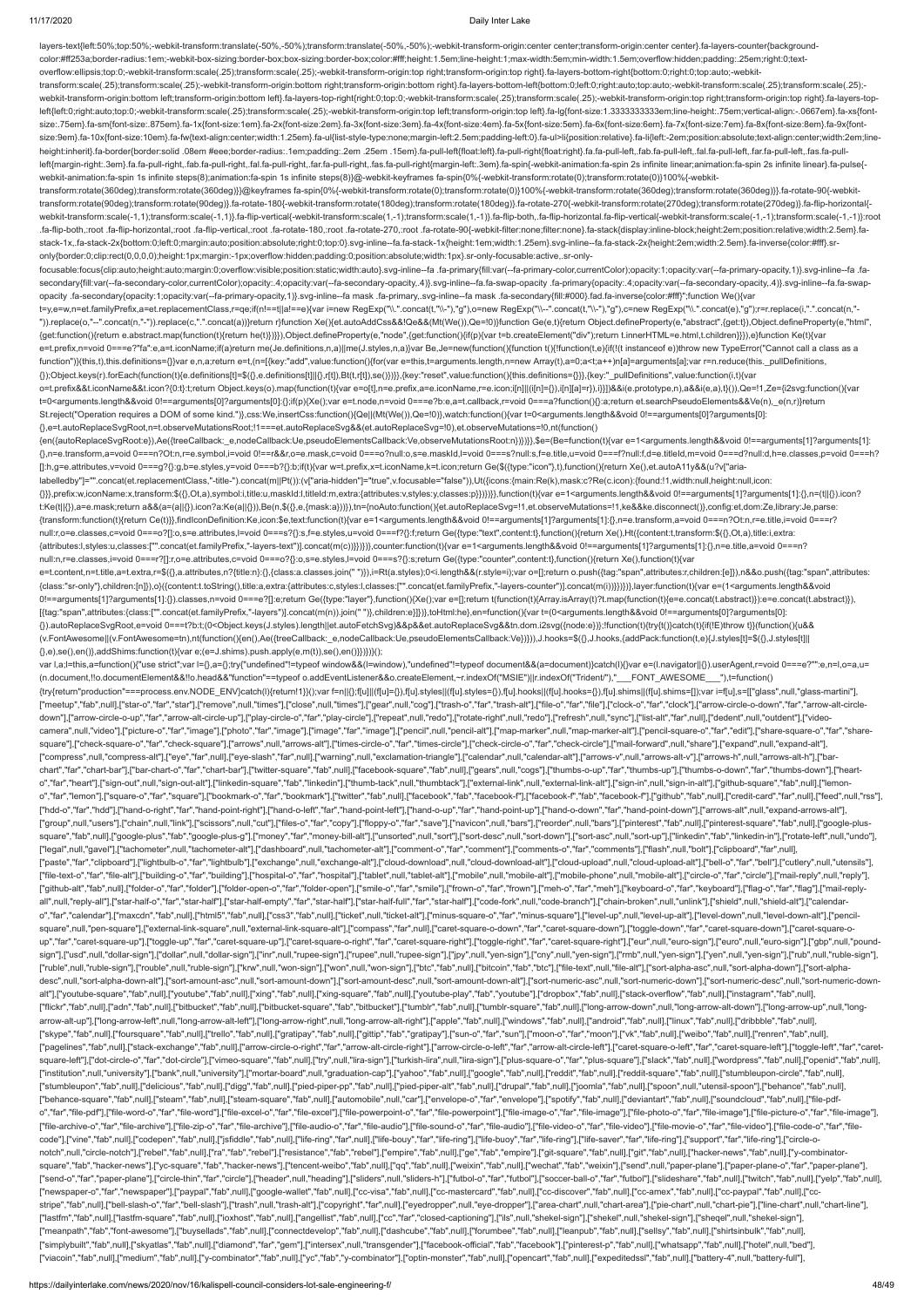layers-text{left:50%;top:50%;-webkit-transform:translate(-50%,-50%);transform:translate(-50%,-50%);-webkit-transform-origin:center center;transform-origin:center center}.fa-layers-counter{background-

color:#ff253a;border-radius:1em;-webkit-box-sizing:border-box;box-sizing:border-box;color:#fff;height:1.5em;line-height:1;max-width:5em;min-width:1.5em;overflow:hidden;padding:.25em;right:0;textoverflow:ellipsis;top:0;-webkit-transform:scale(.25);transform:scale(.25);-webkit-transform-origin:top right;transform-origin:top right}.fa-layers-bottom-right{bottom:0;right:0;top:auto;-webkittransform:scale(.25);transform:scale(.25);-webkit-transform-origin:bottom right;transform-origin:bottom right}.fa-layers-bottom-left{bottom:0;left:0;right:auto;top:auto;-webkit-transform:scale(.25);transform:scale(.25); webkit-transform-origin:bottom left;transform-origin:bottom left;transform-origin:bottom left}.fa-layers-top-right{right:0;top:0;-webkit-transform:scale(.25);transform:scale(.25);-webkit-transform-origin:top right;transfor left{left:0;right:auto;top:0;-webkit-transform:scale(.25);transform:scale(.25);-webkit-transform-origin:top left;transform-origin:top left}.fa-lg{font-size:1.3333333333333333339m;line-height:.75em;vertical-align:-.0667em}. size:.75em}.fa-sm{font-size:.875em}.fa-1x{font-size:1em}.fa-2x{font-size:2em}.fa-3x{font-size:3em}.fa-4x{font-size:4em}.fa-5x{font-size:5em}.fa-6x{font-size:6em}.fa-6x{font-size:6em}.fa-6x{font-size:8em}.fa-8x{font-size:8e size:9em}.fa-10x{font-size:10em}.fa-fw{text-align:center;width:1.25em}.fa-ul{list-style-type:none;margin-left:2.5em;padding-left:0}.fa-ul>li{position:relative}.fa-li{left:-2em;position:absolute;text-align:center;width:2em; height:inherit}.fa-border{border:solid .08em #eee;border-radius:.1em;padding:.2em .25em .15em}.fa-pull-left{float:left}.fa-pull-right{float:right}.fa.fa-pull-left,.fab.fa-pull-left,.fab.fa-pull-left,.fal.fa-pull-left,.fan. left{margin-right:.3em}.fa.fa-pull-right,.fab.fa-pull-right,.fal.fa-pull-right,.fal.fa-pull-right,.far.fa-pull-right,.far.fa-pull-right,.fas.fa-pull-right(nargin-left:.3em}.fa-spin{-webkit-animation:fa-spin 2s infinite lin webkit-animation:fa-spin 1s infinite steps(8);animation:fa-spin 1s infinite steps(8)}@-webkit-keyframes fa-spin{0%{-webkit-transform:rotate(0);transform:rotate(0)}100%{-webkittransform:rotate(360deg);transform:rotate(360deg)}}@keyframes fa-spin{0%{-webkit-transform:rotate(0);transform:rotate(0)}100%{-webkit-transform:rotate(360deg);transform:rotate(360deg)}}.fa-rotate-90{-webkittransform:rotate(90deg);transform:rotate(90deg)}.fa-rotate-180{-webkit-transform:rotate(180deg);transform:rotate(180deg)}.fa-rotate-270{-webkit-transform:rotate(270deg);transform:rotate(270deg)}.fa-flip-horizontal{ webkit-transform:scale(-1,1);transform:scale(-1,1)}.fa-flip-vertical{-webkit-transform:scale(1,-1);transform:scale(1,-1)}.fa-flip-both,.fa-flip-both,da-flip-horizontal.fa-flip-vertical{-webkit-transform:scale(-1,-1)}:root .fa-flip-both,:root .fa-flip-horizontal,:root .fa-flip-vertical,:root .fa-rotate-180,:root .fa-rotate-270,:root .fa-rotate-90{-webkit-filter:none;filter:none}.fa-stack{display:inline-block;height:2em;position:relative;widt stack-1x,.fa-stack-2x{bottom:0;left:0;margin:auto;position:absolute;right:0;top:0}.svg-inline--fa.fa-stack-1x{height:1em;width:1.25em}.svg-inline--fa.fa-stack-2x{height:2em;width:2.5em}.fa-inverse{color:#fff}.sronly{border:0;clip:rect(0,0,0,0);height:1px;margin:-1px;overflow:hidden;padding:0;position:absolute;width:1px}.sr-only-focusable:active,.sr-onlyfocusable:focus{clip:auto;height:auto;margin:0;overflow:visible;position:static;width:auto}.svg-inline--fa .fa-primary{fill:var(--fa-primary-color,currentColor);opacity:1;opacity:1-a-primary-opacity,1)}.svg-inline--fa .fasecondary{fill:var(--fa-secondary-color,currentColor);opacity:.4;opacity:var(--fa-secondary-opacity,.4)}.svg-inline--fa.fa-swap-opacity .fa-primary{opacity:.4;opacity:.4;opacity:or(--fa-secondary-opacity:a;opacity:4)}.svgopacity .fa-secondary{opacity:1;opacity:var(--fa-primary-opacity,1)}.svg-inline--fa mask .fa-primary,.svg-inline--fa mask .fa-secondary{fill:#000}.fad.fa-inverse{color:#fff}";function We(){var t=y,e=w,n=et.familyPrefix,a=et.replacementClass,r=qe;if(n!==t||a!==e){var i=new RegExp("\\.".concat(t,"\\-"),"g"),o=new RegExp("\\--".concat(t,"\\-"),"g"),c=new RegExp("\\.".concat(e),"g");r=r.replace(i,".".concat(n,"- ")).replace(o,"--".concat(n,"-")).replace(c,".".concat(a))}return r}function Xe(){et.autoAddCss&&!Qe&&(Mt(We()),Qe=!0)}function Ge(e,t){return Object.defineProperty(e,"abstract",{get:t}),Object.defineProperty(e,"html", {get:function(){return e.abstract.map(function(t){return he(t)})}}),Object.defineProperty(e,"node",{get:function(){if(p){var t=b.createElement("div");return t.innerHTML=e.html,t.children}}}),e}function Ke(t){var e=t.prefix,n=void 0===e?"fa":e,a=t.iconName;if(a)return me(Je.definitions,n,a)||me(J.styles,n,a)}var Be,Je=new(function(){function t(){!function(t,e){if(!(t instanceof e))throw new TypeError("Cannot call a class as a function")}(this,t),this.definitions={}}var e,n,a;return e=t,(n=[{key:"add",value:function(){for(var e=this,t=arguments.length,n=new Array(t),a=0;a<t;a++)n[a]=arguments[a];var r=n.reduce(this.\_pullDefinitions, {});Object.keys(r).forEach(function(t){e.definitions[t]=\$({},e.definitions[t]||{},r[t]),Bt(t,r[t]),se()})}},{key:"reset",value:function(){this.definitions={}}},{key:"\_pullDefinitions",value:function(i,t){var o=t.prefix&&t.iconName&&t.icon?{0:t}:t;return Object.keys(o).map(function(t){var e=o[t],n=e.prefix,a=e.iconName,r=e.icon;i[n]||(i[n]={}),i[n][a]=r}),i}}])&&i(e.prototype,n),a&&i(e,a),t}()),Qe=!1,Ze={i2svg:function(){var t=0<arguments.length&&void 0!==arguments[0]?arguments[0]:{};if(p){Xe();var e=t.node,n=void 0===e?b:e,a=t.callback,r=void 0===a?function(){}:a;return et.searchPseudoElements&&Ve(n),\_e(n,r)}return St.reject("Operation requires a DOM of some kind.")},css:We,insertCss:function(){Qe||(Mt(We()),Qe=!0)},watch:function(){var t=0<arguments.length&&void 0!==arguments[0]?arguments[0]: {},e=t.autoReplaceSvgRoot,n=t.observeMutationsRoot;!1===et.autoReplaceSvg&&(et.autoReplaceSvg=!0),et.observeMutations=!0,nt(function() {en({autoReplaceSvgRoot:e}),Ae({treeCallback:\_e,nodeCallback:Ue,pseudoElementsCallback:Ve,observeMutationsRoot:n})})}},\$e=(Be=function(t){var e=1<arguments.length&&void 0!==arguments[1]?arguments[1]: {},n=e.transform,a=void 0===n?Ot:n,r=e.symbol,i=void 0!==r&&r,o=e.mask,c=void 0===o?null:o,s=e.maskId,l=void 0===s?null:s,f=e.title,u=void 0===f?null:f,d=e.titleId,m=void 0===d?null:d,h=e.classes,p=void 0===h? []:h,g=e.attributes,v=void 0===g?{}:g,b=e.styles,y=void 0===b?{}:b;if(t){var w=t.prefix,x=t.iconName,k=t.icon;return Ge(\$({type:"icon"},t),function(){return Xe(),et.autoA11y&&(u?v["arialabelledby"]="".concat(et.replacementClass,"-title-").concat(m||Pt()):(v["aria-hidden"]="true",v.focusable="false")),Ut({icons:{main:Re(k),mask:c?Re(c.icon):{found:!1,width:null,height:null,icon: {}}},prefix:w,iconName:x,transform:\$({},Ot,a),symbol:i,title:u,maskId:l,titleId:m,extra:{attributes:v,styles:y,classes:p}})})}},function(t){var e=1<arguments.length&&void 0!==arguments[1]?arguments[1]:{},n=(t||{}).icon? t:Ke(t||{}),a=e.mask;return a&&(a=(a||{}).icon?a:Ke(a||{})),Be(n,\$({},e,{mask:a}))}),tn={noAuto:function(){et.autoReplaceSvg=!1,et.observeMutations=!1,ke&&ke.disconnect()},config:et,dom:Ze,library:Je,parse: {transform:function(t){return Ce(t)}},findIconDefinition:Ke,icon:\$e,text:function(t){var e=1<arguments.length&&void 0!==arguments[1]?arguments[1]:{},n=e.transform,a=void 0===n?Ot:n,r=e.title,i=void 0===r? null:r,o=e.classes,c=void 0===o?[]:o,s=e.attributes,l=void 0===s?{}:s,f=e.styles,u=void 0===f?{}:f;return Ge({type:"text",content:t},function(){return Xe(),Ht({content:t,transform:\$({},Ot,a),title:i,extra: {attributes:l,styles:u,classes:["".concat(et.familyPrefix,"-layers-text")].concat(m(c))}})})},counter:function(t){var e=1<arguments.length&&void 0!==arguments[1]?arguments[1]:{},n=e.title,a=void 0===n? null:n,r=e.classes,i=void 0===r?[]:r,o=e.attributes,c=void 0===o?{}:o,s=e.styles,l=void 0===s?{}:s;return Ge({type:"counter",content:t},function(){return Xe(),function(t){var e=t.content,n=t.title,a=t.extra,r=\$({},a.attributes,n?{title:n}:{},{class:a.classes.join("")}),i=Rt(a.styles);0<i.length&&(r.style=i);var o=[];return o.push({tag:"span",attributes:r,children:[e]}),n&&o.push({tag:"span",att {class:"sr-only"},children:[n]}),o}({content:t.toString(),title:a,extra:{attributes:c,styles:l,classes:["".concat(et.familyPrefix,"-layers-counter")].concat(m(i))}})})},layer:function(t){var e=(1<arguments.length&&void 0!==arguments[1]?arguments[1]:{}).classes,n=void 0===e?[]:e;return Ge({type:"layer"},function(){Xe();var e=[];return t(function(t){Array.isArray(t)?t.map(function(t){e=e.concat(t.abstract)}):e=e.concat(t.abstract)}), [{tag:"span",attributes:{class:["".concat(et.familyPrefix,"-layers")].concat(m(n)).join(" ")},children:e}]})},toHtml:he},en=function(){var t=(0<arguments.length&&void 0!==arguments[0]?arguments[0]: {}).autoReplaceSvgRoot,e=void 0===t?b:t;(0<Object.keys(J.styles).length||et.autoFetchSvg)&&p&&et.autoReplaceSvg&&tn.dom.i2svg({node:e})};!function(t){try{t()}catch(t){if(!E)throw t}}(function(){u&& (v.FontAwesome||(v.FontAwesome=tn),nt(function(){en(),Ae({treeCallback:\_e,nodeCallback:Ue,pseudoElementsCallback:Ve})})),J.hooks=\$({},J.hooks,{addPack:function(t,e){J.styles[t]=\$({},J.styles[t]|| {},e),se(),en()},addShims:function(t){var e;(e=J.shims).push.apply(e,m(t)),se(),en()}})})}(); var l,a;l=this,a=function(){"use strict";var l={},a={};try{"undefined"!=typeof window&&(l=window),"undefined"!=typeof document&&(a=document)}catch(l){}var e=(l.navigator|{}}).userAgent,r=void 0===e?"":e,n=l,o=a,u= (n.document,!!o.documentElement&&!!o.head&&"function"==typeof o.addEventListener&&o.createElement,~r.indexOf("MSIE")||r.indexOf("Trident/"),"\_\_\_FONT\_AWESOME\_\_\_"),t=function() {try{return"production"===process.env.NODE\_ENV}catch(l){return!1}}();var f=n||{};f[u]||(f[u]={}),f[u].styles||(f[u].shyles={}),f[u].hooks||(f[u].hooks={}),f[u].shims||(f[u].shims=[]);var i=f[u],s=[["glass",null,"glass-mart ["meetup","fab",null],["star-o","far","star"],["remove",null,"times"],["close",null,"times"],["gear",null,"toog"],["trash-o","far","tarh-alt"],["file-o","far","falr","far","clock-o","far","clock"],["arrow-circle-o-down","f down"],["arrow-circle-o-up","far","arrow-alt-circle-up"],["play-circle-o","far","play-circle"],["repeat",null,"redo"],["rotate-right",null,"redo"],["refresh",null,"sync"],["list-alt","far","far","farl","dedent",null,"outde camera",null,"video"],["picture-o","far","image"],["photo","far","image"],["image","far","image"],["pencil",null,"pencil",null,"map-marker",null,"map-marker-alt"],["pencil-square-o","far","edit"],["share-square-o","far","s square"],["check-square-o","far","check-square"],["arrows",null,"arrows-alt"],["times-circle-o","far","times-circle"],["check-circle-o","far","check-circle-o","far","check-circle-o","far","check-circle-o","far","check-circ ["compress",null,"compress-alt"],["eye","far",null],["eye-slash","far",null],["warning",null,"exclamation-triangle"],["calendar",null,"calendar-alt"],["arrows-v",null,"arrows-alt-v"],["arrows-h",null,"arrows-alt-h"],["barchart","far","chart-bar"],["bar-chart-o","far","chart-bar"],["twitter-square","fab",null],["facebook-square","fab",null],["gears",null,]"gears",null,"cogs"],["thumbs-o-up","far","thumbs-o-down","far","thumbs-o-down","far", o","far","heart"],["sign-out",null,"sign-out-alt"],["linkedin-square","fab","linkedin"],["thumb-tack",null,"thumbtack"],["external-link",null,"external-link-alt"],["sign-in",null,"sign-in-alt"],["github-square","fab",null] o","far","lemon"],["square-o","far","square"],["bookmark-o","far","bookmark"],["twitter","fab",null],["facebook","fab","facebook-f"],["facebook-f","fab","facebook-f"],["facebook-f"],["github","fab",null],["credit-card","fa ["hdd-o","far","hdd"],["hand-o-right","far","hand-point-right"],["hand-o-left","far","hand-point-left"],["hand-o-up","far","hand-point-up"],["hand-o-down","far","hand-point-down"],["arrows-alt",null,"expand-arrows-alt"], ["group",null,"users"],["chain",null,"link"],["scissors",null,"cut"],["files-o","far","copy"],["floppy-o","far","save"],["navicon",null,"bars"],["reorder",null,"bars"],["pinterest',"fab",null],["pinterest-square","fab",nul square","fab",null],["google-plus","fab","google-plus-g"],["money","far","money-bill-alt"],["unsorted",null,"sort-desc",null,"sort-down"],["sort-asc",null,"sort-up"],["inkedin","fab","linkedin-in"],["rotate-left",null,"und ["legal",null,"gavel"],["tachometer",null,"tachometer-alt"],["dashboard",null,"tachometer-alt"],["comment-o","far","comment"],["comments-o","far","comments"],["flash",null,"bolt"],["clipboard","far",null], ["paste","far","clipboard"],["lightbulb-o","far","lightbulb"],["exchange",null,"exchange-alt"],["cloud-download",null,"cloud-download-alt"],["cloud-upload",null,"cloud-upload-alt"],["bell-o","far","bell"],["cutlery",null," ["file-text-o","far","file-alt"],["building-o","far","building"],["hospital-o","far","hospital"],["tablet",null,"tablet-alt"],["mobile-alt"],["mobile-phone",null,"mobile-alt"],["mobile-alt"],["circle-o","far","circle"],["m ["github-alt","fab",null],["folder-o","far","folder"],["folder-open-o","far","folder-open"],["smile-o","far","smile"],["frown-o","far","frown"],["meh-o","far","meh"],["keyboard-o","far","keyboard"],["flag-o","far","flag"], all",null,"reply-all"],["star-half-o","far","star-half"],["star-half-empty","far","star-half"],["star-half-full","far","star-half-full","far","star-half"],["code-fork",null,"code-branch"],["chain-broken",null,"unlink"],["s o","far","calendar"],["maxcdn","fab",null],["html5","fab",null],["css3","fab",null],["css3","fab",null],["cket",null],"["cket",null],"ticket-alt"],["minus-square-o","far","minus-square"],["level-up",null,"level-up-alt"],[" square",null,"pen-square"],["external-link-square",null,"external-link-square-alt"],["compass","far",null],["caret-square-o-down","far","caret-square-down"],["toggle-down","far","caret-square-down"],["caret-square-down"],[ up","far","caret-square-up"),["toggle-up","far","caret-square-up"],["caret-square-o-right","far","caret-square-right"],["toggle-right","far","caret-square-right"],["toggle-right"],"caret-square-square-right"],["coret-squar sign"],["usd",null,"dollar-sign"],["dollar",null,"dollar-sign"],["inr",null,"rupee-sign"],["inpee-sign"],["inpee-sign"],["inpee-sign"],["ppy",null,"yen-sign"],["cny",null,"yen-sign"],["rmb",null,"yen-sign"],["ryen",null,"y ["ruble",null,"ruble-sign"],["rouble",null,"ruble-sign"],["krw",null,"won-sign"],["won",null,"won-sign"],["btc","fab",null],["bitcoin","fab","btc"],["fle-text",null,"file-alt"],["sort-alpha-asc",null,"sort-alpha-down"],["s desc",null,"sort-alpha-down-alt"],["sort-amount-asc",null,"sort-amount-down"],["sort-amount-desc",null,"sort-amount-down-alt"],["sort-numeric-asc",null,"sort-numeric-down"],["sort-numeric-desc",null,"sort-numeric-downalt"],["youtube-square","fab",null],["youtube","fab",null],["xing","fab",null],["xing-square","fab",null],["youtube-play","fab","youtube-play","fab","youtube"],["dropbox","fab",null],["stack-overflow","fab",null],["stagram ["flickr","fab",null],["adn","fab",null],["bitbucket","fab",null],["bitbucket-square","fab","bitbucket-square","fab","bitbucket"],["tumblr","fab",null],["tumblr","fab",null],["tumblr",square","fab",null],["tumblr","fab",nu arrow-alt-up"],["long-arrow-left",null,"long-arrow-alt-left"],["long-arrow-right",null,"long-arrow-alt-right"],["apple","fab",null],["windows","fab",null],["android","fab",null],["linux","fab",null],["dribbble","fab",null], ["skype","fab",null],["foursquare","fab",null],["trello","fab",null],["gratipay","fab",null],["gritip","fab","ab","gratipay"],["stip","fab","gratipay"],["san-o","far","sun"],["moon-o","far","moon"],["vk","fab",null],["weib ["pagelines","fab",null],["stack-exchange","fab",null],["arrow-circle-o-right","far","arrow-alt-circle-right"],["arrow-circle-o-left","far","arrow-alt-circle-o-left","far","arrow-alt-circle-left"],["caret-square-left","far square-left"],["dot-circle-o","far","dot-circle"],["vimeo-square","fab",null],["try",null,"lira-sign"],["turkish-lira",null,"lira-sign"],["plus-square-o","far","plus-square"],["slack","fab",null],["wordpress","fab",null],[ ["institution",null,"university"],["bank",null,"university"],["mortar-board",null,"graduation-cap"],["yahoo","fab",null],["google","fab",null],["reddit-square","fab",null],["reddit-square","fab",null],["stumbleupon-circle" ["stumbleupon","fab",null],["delicious","fab",null],["digg","fab",null],["pied-piper-pp","fab",null],["pied-piper-alt","fab",null],["drupal","fab",null],["joomla","fab",null],["spoon",null,"utensil-spoon"],["behance","fab" ["behance-square","fab",null],["steam","fab",null],["steam-square","fab",null],["automobile",null,"car"],["envelope-o","far","envelope"],["spotify","fab",null],["deviantart","fab",null],["soundcloud","fab",null],["file-pdfo","far","file-pdf"],["file-word-o","far","file-word"],["file-excel-o","far","file-excel"],["file-excel"],["file-powerpoint-o","far","file-powerpoint"],["file-image-o","far","file-image"],["file-photo-o","far","file-image" ["file-archive-o","far","file-archive"],["file-zip-o","far","file-archive"],["file-audio-o","far","file-audio"],["file-sumd-o","far","far-sund-o","far","file-sudio"],["file-sudio"],["file-video",["file-video"],["file-video code"],["vine","fab",null],["codepen","fab",null],["jsfiddle","fab",null],["life-ring","far",null],["life-bouy","far","life-ring"],["life-buoy","far","life-buoy","far","life-ring"],["life-saver","far","life-ring"],["suppor notch",null,"circle-notch"],["rebel","fab",null],["ra","fab","rebel"],["resistance","fab","rebel"],["empire","fab",null],["ge","fab","empire"],["git-square","fab",null],["git","fab",null],["yit","fab",null],["yit-"fab",nul square","fab","hacker-news"],["yc-square","fab","hacker-news"],["tencent-weibo","fab",null],["qq","fab",null],["weixin","fab",null],["wechat","fab",null],["wechat","fab",mull],["wechat","fab",mull],["wechat","fab",mull],[" ["send-o","far","paper-plane"],["circle-thin","far","circle"],["header",null,"heading"],["sliders",null,"sliders-h"],["ttbol-o","far","futbol"],["soccer-ball-o","far","futbol"],["slideshare","fab",null],["twitch","fab",nul ["newspaper-o","far","newspaper"],["paypal","fab",null],["google-wallet","fab",null],["cc-visa","fab",null],["cc-mastercard","fab",null],["cc-discover","fab",null],["cc-amex","fab",null],["cc-paypal","fab",null],["ccstripe","fab",null],["bell-slash-o","far","bell-slash"],["trash",null,"trash-alt"],["copyright","far",null],["eyedropper",null,"eve-dropper"],["area-chart",null,"chart-area"],["pie-chart",null,"chart-pie"],["line-chart",nu ["lastfm","fab",null],["lastfm-square","fab",null],["ioxhost","fab",null],["angellist","fab",null],["cc","far","closed-captioning"],["ils",null,"shekel-sign"],["shekel",null,"shekel-sign"],["sheqel",null,"shekel-sign"], ["meanpath","fab","font-awesome"],["buysellads","fab",null],["connectdevelop","fab",null],["dashcube","fab",null],["forumbee","fab",null],["leanpub","fab",null],["sellsy","fab",null],["shirtsinbulk","fab",null], ["simplybuilt","fab",null],["skyatlas","fab",null],["diamond","far","gem"],["intersex",null,"transgender"],["facebook-official","fab","facebook"],["pinterest-p","fab",null],["whatsapp","fab",null],["hotel",null,"bed"], ["viacoin","fab",null],["medium","fab",null],["y-combinator","fab",null],["yc","fab","y-combinator"],["optin-monster","fab",null],["opencart","fab",null],["expeditedssl","fab",null],["battery-4",null,"battery-full"],